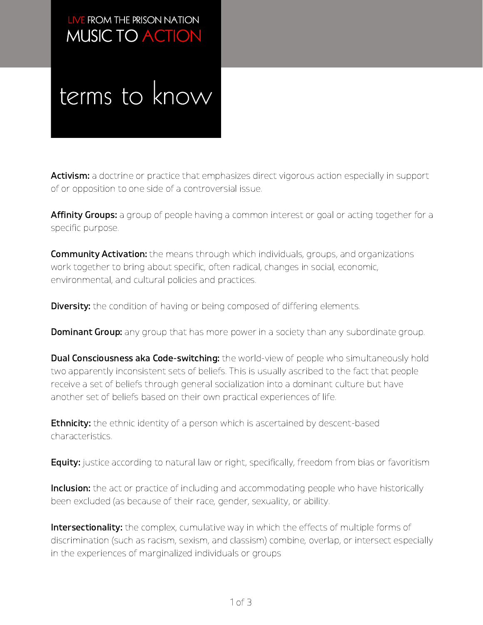### MUSIC TO ACTION LIVE FROM THE PRISON NATION

### terms to know

Activism: a doctrine or practice that emphasizes direct vigorous action especially in support of or opposition to one side of a controversial issue.

Affinity Groups: a group of people having a common interest or goal or acting together for a specific purpose.

**Community Activation:** the means through which individuals, groups, and organizations work together to bring about specific, often radical, changes in social, economic, environmental, and cultural policies and practices.

**Diversity:** the condition of having or being composed of differing elements.

**Dominant Group:** any group that has more power in a society than any subordinate group.

**Dual Consciousness aka Code-switching:** the world-view of people who simultaneously hold two apparently inconsistent sets of beliefs. This is usually ascribed to the fact that people receive a set of beliefs through general socialization into a dominant culture but have another set of beliefs based on their own practical experiences of life.

**Ethnicity:** the ethnic identity of a person which is ascertained by descent-based characteristics.

**Equity:** justice according to natural law or right, specifically, freedom from bias or favoritism

**Inclusion:** the act or practice of including and accommodating people who have historically been excluded (as because of their race, gender, sexuality, or ability.

Intersectionality: the complex, cumulative way in which the effects of multiple forms of discrimination (such as racism, sexism, and classism) combine, overlap, or intersect especially in the experiences of marginalized individuals or groups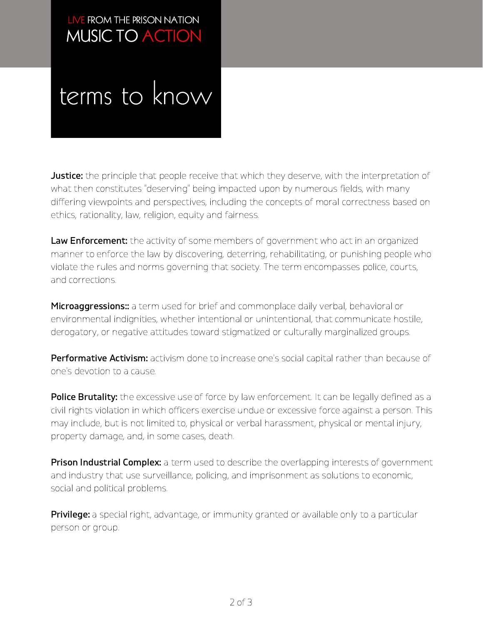### MUSIC TO ACTION LIVE FROM THE PRISON NATION

## terms to know

**Justice:** the principle that people receive that which they deserve, with the interpretation of what then constitutes "deserving" being impacted upon by numerous fields, with many differing viewpoints and perspectives, including the concepts of moral correctness based on ethics, rationality, law, religion, equity and fairness.

Law Enforcement: the activity of some members of government who act in an organized manner to enforce the law by discovering, deterring, rehabilitating, or punishing people who violate the rules and norms governing that society. The term encompasses police, courts, and corrections.

**Microaggressions::** a term used for brief and commonplace daily verbal, behavioral or environmental indignities, whether intentional or unintentional, that communicate hostile, derogatory, or negative attitudes toward stigmatized or culturally marginalized groups.

Performative Activism: activism done to increase one's social capital rather than because of one's devotion to a cause.

Police Brutality: the excessive use of force by law enforcement. It can be legally defined as a civil rights violation in which officers exercise undue or excessive force against a person. This may include, but is not limited to, physical or verbal harassment, physical or mental injury, property damage, and, in some cases, death.

**Prison Industrial Complex:** a term used to describe the overlapping interests of government and industry that use surveillance, policing, and imprisonment as solutions to economic, social and political problems.

**Privilege:** a special right, advantage, or immunity granted or available only to a particular person or group.